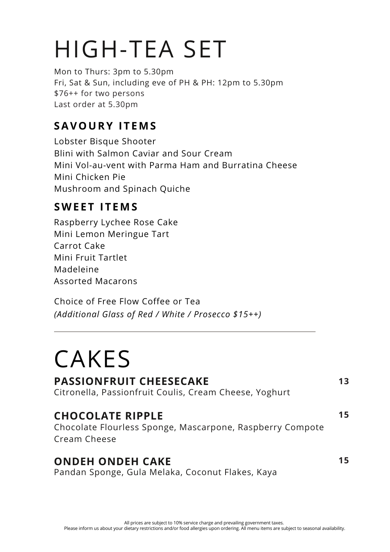## HIGH-TEA SET

Mon to Thurs: 3pm to 5.30pm Fri, Sat & Sun, including eve of PH & PH: 12pm to 5.30pm \$76++ for two persons Last order at 5.30pm

### **SAVOURY I T EMS**

Lobster Bisque Shooter Blini with Salmon Caviar and Sour Cream Mini Vol-au-vent with Parma Ham and Burratina Cheese Mini Chicken Pie Mushroom and Spinach Quiche

#### **SWE E T I T EMS**

Raspberry Lychee Rose Cake Mini Lemon Meringue Tart Carrot Cake Mini Fruit Tartlet Madeleine Assorted Macarons

Choice of Free Flow Coffee or Tea *(Additional Glass of Red / White / Prosecco \$15++)*

### CAKES

#### **PASSIONFRUIT CHEESECAKE**

Citronella, Passionfruit Coulis, Cream Cheese, Yoghurt

**13**

**15**

**15**

Chocolate Flourless Sponge, Mascarpone, Raspberry Compote Cream Cheese **CHOCOLATE RIPPLE**

#### **ONDEH ONDEH CAKE**

Pandan Sponge, Gula Melaka, Coconut Flakes, Kaya